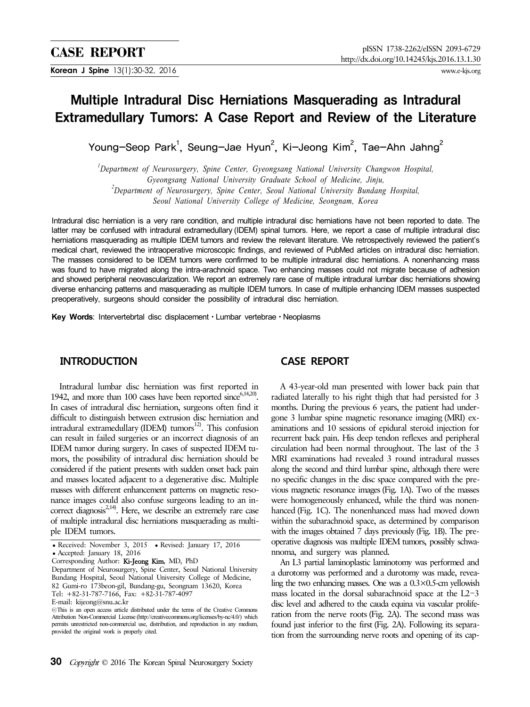# Multiple Intradural Disc Herniations Masquerading as Intradural Extramedullary Tumors: A Case Report and Review of the Literature

Young-Seop Park<sup>1</sup>, Seung-Jae Hyun<sup>2</sup>, Ki-Jeong Kim<sup>2</sup>, Tae-Ahn Jahng<sup>2</sup>

*1 Department of Neurosurgery, Spine Center, Gyeongsang National University Changwon Hospital, Gyeongsang National University Graduate School of Medicine, Jinju, 2 Department of Neurosurgery, Spine Center, Seoul National University Bundang Hospital,* 

*Seoul National University College of Medicine, Seongnam, Korea*

Intradural disc herniation is a very rare condition, and multiple intradural disc herniations have not been reported to date. The latter may be confused with intradural extramedullary (IDEM) spinal tumors. Here, we report a case of multiple intradural disc herniations masquerading as multiple IDEM tumors and review the relevant literature. We retrospectively reviewed the patient's medical chart, reviewed the intraoperative microscopic findings, and reviewed of PubMed articles on intradural disc herniation. The masses considered to be IDEM tumors were confirmed to be multiple intradural disc herniations. A nonenhancing mass was found to have migrated along the intra-arachnoid space. Two enhancing masses could not migrate because of adhesion and showed peripheral neovascularization. We report an extremely rare case of multiple intradural lumbar disc herniations showing diverse enhancing patterns and masquerading as multiple IDEM tumors. In case of multiple enhancing IDEM masses suspected preoperatively, surgeons should consider the possibility of intradural disc herniation.

**Key Words**: Intervertebrtal disc displacementㆍLumbar vertebraeㆍNeoplasms

#### **INTRODUCTION**

Intradural lumbar disc herniation was first reported in 1942, and more than 100 cases have been reported since  $6,14,20$ . In cases of intradural disc herniation, surgeons often find it difficult to distinguish between extrusion disc herniation and intradural extramedullary (IDEM) tumors<sup>12)</sup>. This confusion can result in failed surgeries or an incorrect diagnosis of an IDEM tumor during surgery. In cases of suspected IDEM tumors, the possibility of intradural disc herniation should be considered if the patient presents with sudden onset back pain and masses located adjacent to a degenerative disc. Multiple masses with different enhancement patterns on magnetic resonance images could also confuse surgeons leading to an incorrect diagnosis<sup>2,14)</sup>. Here, we describe an extremely rare case of multiple intradural disc herniations masquerading as multiple IDEM tumors.

## **CASE REPORT**

A 43-year-old man presented with lower back pain that radiated laterally to his right thigh that had persisted for 3 months. During the previous 6 years, the patient had undergone 3 lumbar spine magnetic resonance imaging (MRI) examinations and 10 sessions of epidural steroid injection for recurrent back pain. His deep tendon reflexes and peripheral circulation had been normal throughout. The last of the 3 MRI examinations had revealed 3 round intradural masses along the second and third lumbar spine, although there were no specific changes in the disc space compared with the previous magnetic resonance images (Fig. 1A). Two of the masses were homogeneously enhanced, while the third was nonenhanced (Fig. 1C). The nonenhanced mass had moved down within the subarachnoid space, as determined by comparison with the images obtained  $\overline{7}$  days previously (Fig. 1B). The preoperative diagnosis was multiple IDEM tumors, possibly schwannoma, and surgery was planned.

An L3 partial laminoplastic laminotomy was performed and a durotomy was performed and a durotomy was made, revealing the two enhancing masses. One was a  $0.3 \times 0.5$ -cm yellowish mass located in the dorsal subarachnoid space at the L2-3 disc level and adhered to the cauda equina via vascular proliferation from the nerve roots (Fig. 2A). The second mass was found just inferior to the first (Fig. 2A). Following its separation from the surrounding nerve roots and opening of its cap-

<sup>•</sup> Received: November 3, 2015 • Revised: January 17, 2016 ● Accepted: January 18, 2016

Corresponding Author: Ki-Jeong Kim, MD, PhD

Department of Neurosurgery, Spine Center, Seoul National University Bundang Hospital, Seoul National University College of Medicine, 82 Gumi-ro 173beon-gil, Bundang-gu, Seongnam 13620, Korea Tel: +82-31-787-7166, Fax: +82-31-787-4097

E-mail: kijeong@snu.ac.kr

<sup>◯∝</sup>This is an open access article distributed under the terms of the Creative Commons Attribution Non-Commercial License (http://creativecommons.org/licenses/by-nc/4.0/) which permits unrestricted non-commercial use, distribution, and reproduction in any medium, provided the original work is properly cited.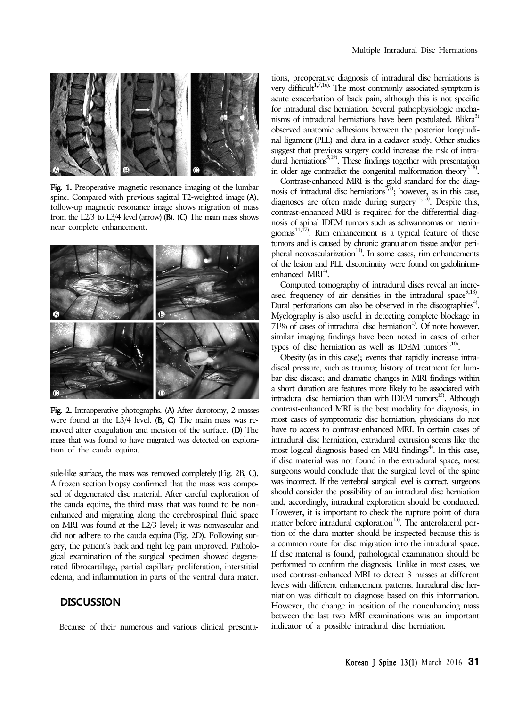

Fig. 1. Preoperative magnetic resonance imaging of the lumbar spine. Compared with previous sagittal T2-weighted image (A), follow-up magnetic resonance image shows migration of mass from the L2/3 to L3/4 level (arrow) (B). (C) The main mass shows near complete enhancement.



Fig. 2. Intraoperative photographs. (A) After durotomy, 2 masses were found at the L3/4 level. (B, C) The main mass was removed after coagulation and incision of the surface. (D) The mass that was found to have migrated was detected on exploration of the cauda equina.

sule-like surface, the mass was removed completely (Fig. 2B, C). A frozen section biopsy confirmed that the mass was composed of degenerated disc material. After careful exploration of the cauda equine, the third mass that was found to be nonenhanced and migrating along the cerebrospinal fluid space on MRI was found at the L2/3 level; it was nonvascular and did not adhere to the cauda equina (Fig. 2D). Following surgery, the patient's back and right leg pain improved. Pathological examination of the surgical specimen showed degenerated fibrocartilage, partial capillary proliferation, interstitial edema, and inflammation in parts of the ventral dura mater.

#### **DISCUSSION**

Because of their numerous and various clinical presenta-

tions, preoperative diagnosis of intradural disc herniations is very difficult<sup>1,7,16)</sup>. The most commonly associated symptom is acute exacerbation of back pain, although this is not specific for intradural disc herniation. Several pathophysiologic mechanisms of intradural herniations have been postulated. Blikra<sup>3)</sup> observed anatomic adhesions between the posterior longitudinal ligament (PLL) and dura in a cadaver study. Other studies suggest that previous surgery could increase the risk of intra- $\frac{30}{20}$  and  $\frac{5,19}{20}$ . These findings together with presentation in older age contradict the congenital malformation theory<sup>5,18)</sup>.

Contrast-enhanced MRI is the gold standard for the diagnosis of intradural disc herniations<sup>7,8</sup>); however, as in this case, diagnoses are often made during surgery<sup>11,13)</sup>. Despite this, contrast-enhanced MRI is required for the differential diagnosis of spinal IDEM tumors such as schwannomas or meningiomas<sup>11,17</sup>. Rim enhancement is a typical feature of these tumors and is caused by chronic granulation tissue and/or peripheral neovascularization $11$ <sup>11</sup>. In some cases, rim enhancements of the lesion and PLL discontinuity were found on gadoliniumenhanced  $MRI<sup>4</sup>$ .

Computed tomography of intradural discs reveal an increased frequency of air densities in the intradural space<sup>9,13)</sup>. Dural perforations can also be observed in the discographies<sup>4)</sup>. Myelography is also useful in detecting complete blockage in  $71\%$  of cases of intradural disc herniation<sup>1</sup>. Of note however, similar imaging findings have been noted in cases of other types of disc herniation as well as IDEM tumors<sup>1,10</sup>.

Obesity (as in this case); events that rapidly increase intradiscal pressure, such as trauma; history of treatment for lumbar disc disease; and dramatic changes in MRI findings within a short duration are features more likely to be associated with intradural disc herniation than with IDEM tumors $^{15}$ . Although contrast-enhanced MRI is the best modality for diagnosis, in most cases of symptomatic disc herniation, physicians do not have to access to contrast-enhanced MRI. In certain cases of intradural disc herniation, extradural extrusion seems like the most logical diagnosis based on MRI findings<sup>4)</sup>. In this case, if disc material was not found in the extradural space, most surgeons would conclude that the surgical level of the spine was incorrect. If the vertebral surgical level is correct, surgeons should consider the possibility of an intradural disc herniation and, accordingly, intradural exploration should be conducted. However, it is important to check the rupture point of dura matter before intradural exploration<sup>13)</sup>. The anterolateral portion of the dura matter should be inspected because this is a common route for disc migration into the intradural space. If disc material is found, pathological examination should be performed to confirm the diagnosis. Unlike in most cases, we used contrast-enhanced MRI to detect 3 masses at different levels with different enhancement patterns. Intradural disc herniation was difficult to diagnose based on this information. However, the change in position of the nonenhancing mass between the last two MRI examinations was an important indicator of a possible intradural disc herniation.